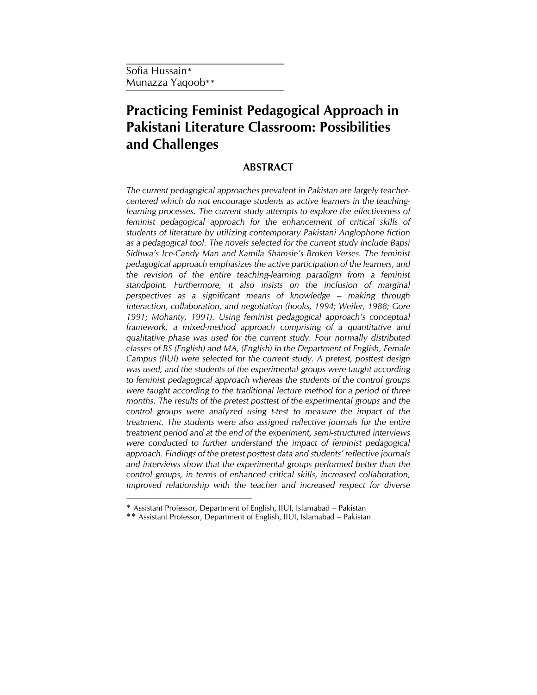# Practicing Feminist Pedagogical Approach in Pakistani Literature Classroom: Possibilities and Challenges

## ABSTRACT

The current pedagogical approaches prevalent in Pakistan are largely teachercentered which do not encourage students as active learners in the teachinglearning processes. The current study attempts to explore the effectiveness of feminist pedagogical approach for the enhancement of critical skills of students of literature by utilizing contemporary Pakistani Anglophone fiction as a pedagogical tool. The novels selected for the current study include Bapsi Sidhwa's Ice-Candy Man and Kamila Shamsie's Broken Verses. The feminist pedagogical approach emphasizes the active participation of the learners, and the revision of the entire teaching-learning paradigm from a feminist standpoint. Furthermore, it also insists on the inclusion of marginal perspectives as a significant means of knowledge – making through interaction, collaboration, and negotiation (hooks, 1994; Weiler, 1988; Gore 1991; Mohanty, 1991). Using feminist pedagogical approach's conceptual framework, a mixed-method approach comprising of a quantitative and qualitative phase was used for the current study. Four normally distributed classes of BS (English) and MA, (English) in the Department of English, Female Campus (IIUI) were selected for the current study. A pretest, posttest design was used, and the students of the experimental groups were taught according to feminist pedagogical approach whereas the students of the control groups were taught according to the traditional lecture method for a period of three months. The results of the pretest posttest of the experimental groups and the control groups were analyzed using t-test to measure the impact of the treatment. The students were also assigned reflective journals for the entire treatment period and at the end of the experiment, semi-structured interviews were conducted to further understand the impact of feminist pedagogical approach. Findings of the pretest posttest data and students' reflective journals and interviews show that the experimental groups performed better than the control groups, in terms of enhanced critical skills, increased collaboration, improved relationship with the teacher and increased respect for diverse

<sup>\*</sup> Assistant Professor, Department of English, IIUI, Islamabad – Pakistan

<sup>\*\*</sup> Assistant Professor, Department of English, IIUI, Islamabad – Pakistan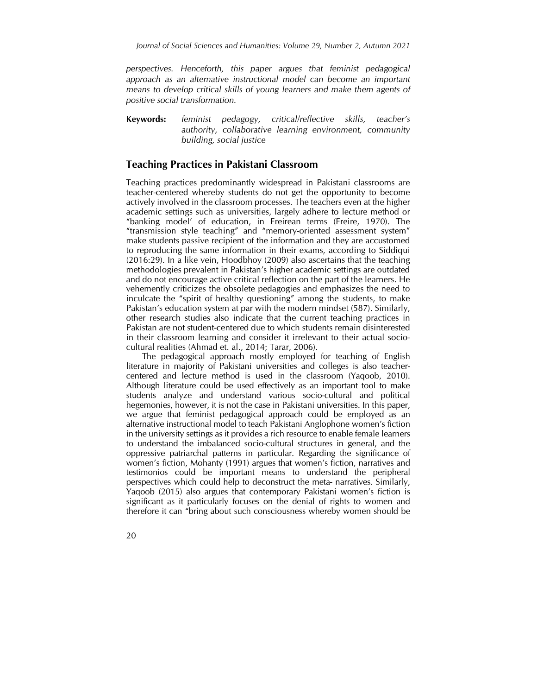perspectives. Henceforth, this paper argues that feminist pedagogical approach as an alternative instructional model can become an important means to develop critical skills of young learners and make them agents of positive social transformation.

Keywords: feminist pedagogy, critical/reflective skills, teacher's authority, collaborative learning environment, community building, social justice

## Teaching Practices in Pakistani Classroom

Teaching practices predominantly widespread in Pakistani classrooms are teacher-centered whereby students do not get the opportunity to become actively involved in the classroom processes. The teachers even at the higher academic settings such as universities, largely adhere to lecture method or "banking model' of education, in Freirean terms (Freire, 1970). The "transmission style teaching" and "memory-oriented assessment system" make students passive recipient of the information and they are accustomed to reproducing the same information in their exams, according to Siddiqui (2016:29). In a like vein, Hoodbhoy (2009) also ascertains that the teaching methodologies prevalent in Pakistan's higher academic settings are outdated and do not encourage active critical reflection on the part of the learners. He vehemently criticizes the obsolete pedagogies and emphasizes the need to inculcate the "spirit of healthy questioning" among the students, to make Pakistan's education system at par with the modern mindset (587). Similarly, other research studies also indicate that the current teaching practices in Pakistan are not student-centered due to which students remain disinterested in their classroom learning and consider it irrelevant to their actual sociocultural realities (Ahmad et. al., 2014; Tarar, 2006).

 The pedagogical approach mostly employed for teaching of English literature in majority of Pakistani universities and colleges is also teachercentered and lecture method is used in the classroom (Yaqoob, 2010). Although literature could be used effectively as an important tool to make students analyze and understand various socio-cultural and political hegemonies, however, it is not the case in Pakistani universities. In this paper, we argue that feminist pedagogical approach could be employed as an alternative instructional model to teach Pakistani Anglophone women's fiction in the university settings as it provides a rich resource to enable female learners to understand the imbalanced socio-cultural structures in general, and the oppressive patriarchal patterns in particular. Regarding the significance of women's fiction, Mohanty (1991) argues that women's fiction, narratives and testimonios could be important means to understand the peripheral perspectives which could help to deconstruct the meta- narratives. Similarly, Yaqoob (2015) also argues that contemporary Pakistani women's fiction is significant as it particularly focuses on the denial of rights to women and therefore it can "bring about such consciousness whereby women should be

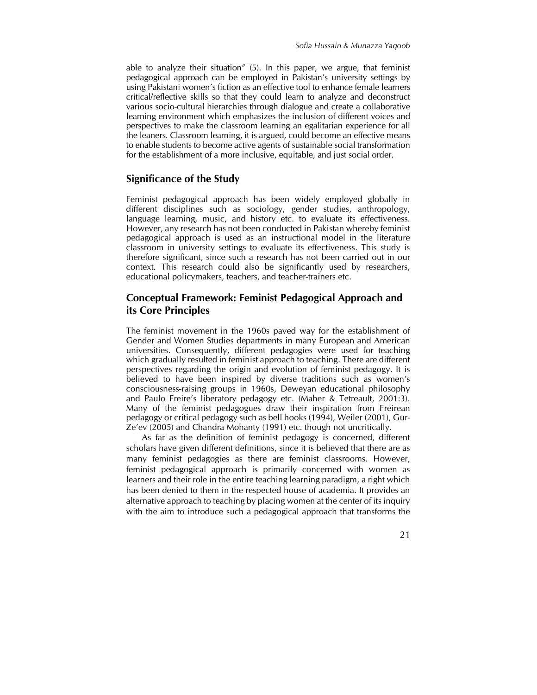able to analyze their situation" (5). In this paper, we argue, that feminist pedagogical approach can be employed in Pakistan's university settings by using Pakistani women's fiction as an effective tool to enhance female learners critical/reflective skills so that they could learn to analyze and deconstruct various socio-cultural hierarchies through dialogue and create a collaborative learning environment which emphasizes the inclusion of different voices and perspectives to make the classroom learning an egalitarian experience for all the leaners. Classroom learning, it is argued, could become an effective means to enable students to become active agents of sustainable social transformation for the establishment of a more inclusive, equitable, and just social order.

## Significance of the Study

Feminist pedagogical approach has been widely employed globally in different disciplines such as sociology, gender studies, anthropology, language learning, music, and history etc. to evaluate its effectiveness. However, any research has not been conducted in Pakistan whereby feminist pedagogical approach is used as an instructional model in the literature classroom in university settings to evaluate its effectiveness. This study is therefore significant, since such a research has not been carried out in our context. This research could also be significantly used by researchers, educational policymakers, teachers, and teacher-trainers etc.

## Conceptual Framework: Feminist Pedagogical Approach and its Core Principles

The feminist movement in the 1960s paved way for the establishment of Gender and Women Studies departments in many European and American universities. Consequently, different pedagogies were used for teaching which gradually resulted in feminist approach to teaching. There are different perspectives regarding the origin and evolution of feminist pedagogy. It is believed to have been inspired by diverse traditions such as women's consciousness-raising groups in 1960s, Deweyan educational philosophy and Paulo Freire's liberatory pedagogy etc. (Maher & Tetreault, 2001:3). Many of the feminist pedagogues draw their inspiration from Freirean pedagogy or critical pedagogy such as bell hooks (1994), Weiler (2001), Gur-Ze'ev (2005) and Chandra Mohanty (1991) etc. though not uncritically.

 As far as the definition of feminist pedagogy is concerned, different scholars have given different definitions, since it is believed that there are as many feminist pedagogies as there are feminist classrooms. However, feminist pedagogical approach is primarily concerned with women as learners and their role in the entire teaching learning paradigm, a right which has been denied to them in the respected house of academia. It provides an alternative approach to teaching by placing women at the center of its inquiry with the aim to introduce such a pedagogical approach that transforms the

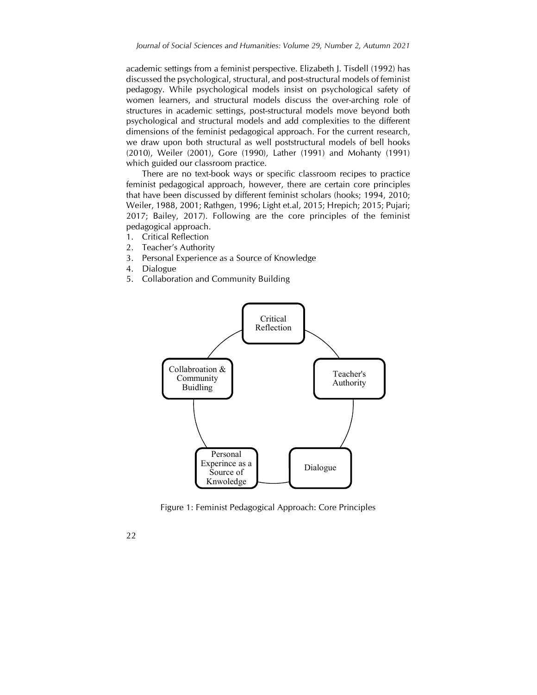academic settings from a feminist perspective. Elizabeth J. Tisdell (1992) has discussed the psychological, structural, and post-structural models of feminist pedagogy. While psychological models insist on psychological safety of women learners, and structural models discuss the over-arching role of structures in academic settings, post-structural models move beyond both psychological and structural models and add complexities to the different dimensions of the feminist pedagogical approach. For the current research, we draw upon both structural as well poststructural models of bell hooks (2010), Weiler (2001), Gore (1990), Lather (1991) and Mohanty (1991) which guided our classroom practice.

 There are no text-book ways or specific classroom recipes to practice feminist pedagogical approach, however, there are certain core principles that have been discussed by different feminist scholars (hooks; 1994, 2010; Weiler, 1988, 2001; Rathgen, 1996; Light et.al, 2015; Hrepich; 2015; Pujari; 2017; Bailey, 2017). Following are the core principles of the feminist pedagogical approach.

- 1. Critical Reflection
- 2. Teacher's Authority
- 3. Personal Experience as a Source of Knowledge
- 4. Dialogue
- 5. Collaboration and Community Building



Figure 1: Feminist Pedagogical Approach: Core Principles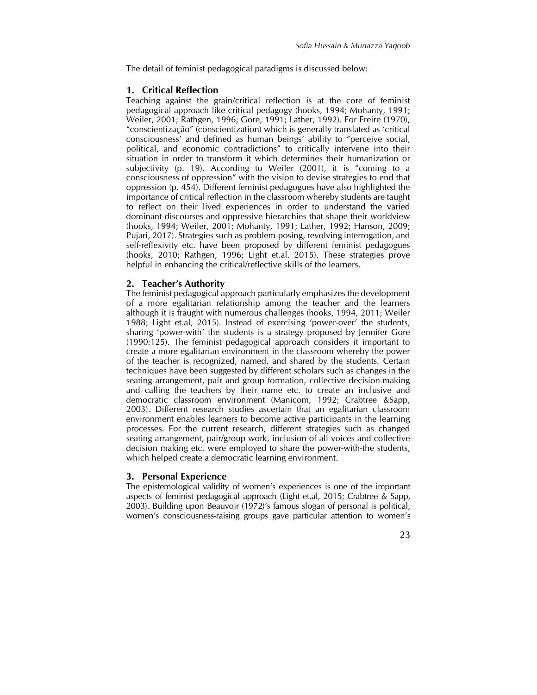The detail of feminist pedagogical paradigms is discussed below:

#### 1. Critical Reflection

Teaching against the grain/critical reflection is at the core of feminist pedagogical approach like critical pedagogy (hooks, 1994; Mohanty, 1991; Weiler, 2001; Rathgen, 1996; Gore, 1991; Lather, 1992). For Freire (1970), "conscientização" (conscientization) which is generally translated as 'critical consciousness' and defined as human beings' ability to "perceive social, political, and economic contradictions" to critically intervene into their situation in order to transform it which determines their humanization or subjectivity (p. 19). According to Weiler (2001), it is "coming to a consciousness of oppression" with the vision to devise strategies to end that oppression (p. 454). Different feminist pedagogues have also highlighted the importance of critical reflection in the classroom whereby students are taught to reflect on their lived experiences in order to understand the varied dominant discourses and oppressive hierarchies that shape their worldview (hooks, 1994; Weiler, 2001; Mohanty, 1991; Lather, 1992; Hanson, 2009; Pujari, 2017). Strategies such as problem-posing, revolving interrogation, and self-reflexivity etc. have been proposed by different feminist pedagogues (hooks, 2010; Rathgen, 1996; Light et.al. 2015). These strategies prove helpful in enhancing the critical/reflective skills of the learners.

#### 2. Teacher's Authority

The feminist pedagogical approach particularly emphasizes the development of a more egalitarian relationship among the teacher and the learners although it is fraught with numerous challenges (hooks, 1994, 2011; Weiler 1988; Light et.al, 2015). Instead of exercising 'power-over' the students, sharing 'power-with' the students is a strategy proposed by Jennifer Gore (1990:125). The feminist pedagogical approach considers it important to create a more egalitarian environment in the classroom whereby the power of the teacher is recognized, named, and shared by the students. Certain techniques have been suggested by different scholars such as changes in the seating arrangement, pair and group formation, collective decision-making and calling the teachers by their name etc. to create an inclusive and democratic classroom environment (Manicom, 1992; Crabtree &Sapp, 2003). Different research studies ascertain that an egalitarian classroom environment enables learners to become active participants in the learning processes. For the current research, different strategies such as changed seating arrangement, pair/group work, inclusion of all voices and collective decision making etc. were employed to share the power-with-the students, which helped create a democratic learning environment.

#### 3. Personal Experience

The epistemological validity of women's experiences is one of the important aspects of feminist pedagogical approach (Light et.al, 2015; Crabtree & Sapp, 2003). Building upon Beauvoir (1972)'s famous slogan of personal is political, women's consciousness-raising groups gave particular attention to women's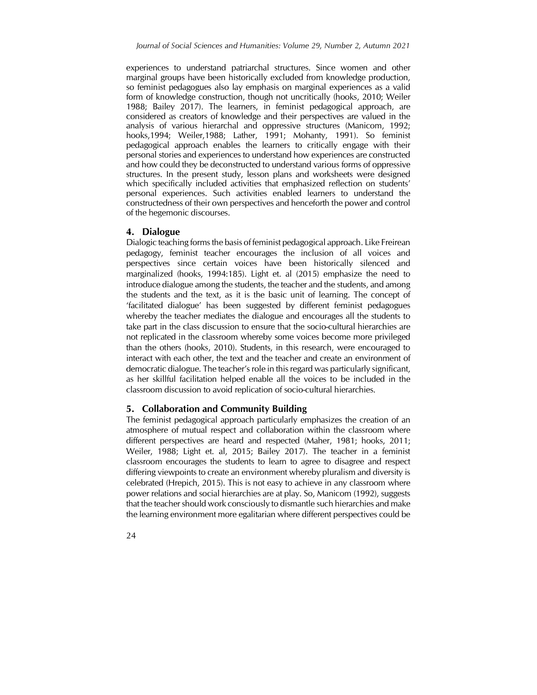experiences to understand patriarchal structures. Since women and other marginal groups have been historically excluded from knowledge production, so feminist pedagogues also lay emphasis on marginal experiences as a valid form of knowledge construction, though not uncritically (hooks, 2010; Weiler 1988; Bailey 2017). The learners, in feminist pedagogical approach, are considered as creators of knowledge and their perspectives are valued in the analysis of various hierarchal and oppressive structures (Manicom, 1992; hooks,1994; Weiler,1988; Lather, 1991; Mohanty, 1991). So feminist pedagogical approach enables the learners to critically engage with their personal stories and experiences to understand how experiences are constructed and how could they be deconstructed to understand various forms of oppressive structures. In the present study, lesson plans and worksheets were designed which specifically included activities that emphasized reflection on students' personal experiences. Such activities enabled learners to understand the constructedness of their own perspectives and henceforth the power and control of the hegemonic discourses.

#### 4. Dialogue

Dialogic teaching forms the basis of feminist pedagogical approach. Like Freirean pedagogy, feminist teacher encourages the inclusion of all voices and perspectives since certain voices have been historically silenced and marginalized (hooks, 1994:185). Light et. al (2015) emphasize the need to introduce dialogue among the students, the teacher and the students, and among the students and the text, as it is the basic unit of learning. The concept of 'facilitated dialogue' has been suggested by different feminist pedagogues whereby the teacher mediates the dialogue and encourages all the students to take part in the class discussion to ensure that the socio-cultural hierarchies are not replicated in the classroom whereby some voices become more privileged than the others (hooks, 2010). Students, in this research, were encouraged to interact with each other, the text and the teacher and create an environment of democratic dialogue. The teacher's role in this regard was particularly significant, as her skillful facilitation helped enable all the voices to be included in the classroom discussion to avoid replication of socio-cultural hierarchies.

#### 5. Collaboration and Community Building

The feminist pedagogical approach particularly emphasizes the creation of an atmosphere of mutual respect and collaboration within the classroom where different perspectives are heard and respected (Maher, 1981; hooks, 2011; Weiler, 1988; Light et. al, 2015; Bailey 2017). The teacher in a feminist classroom encourages the students to learn to agree to disagree and respect differing viewpoints to create an environment whereby pluralism and diversity is celebrated (Hrepich, 2015). This is not easy to achieve in any classroom where power relations and social hierarchies are at play. So, Manicom (1992), suggests that the teacher should work consciously to dismantle such hierarchies and make the learning environment more egalitarian where different perspectives could be

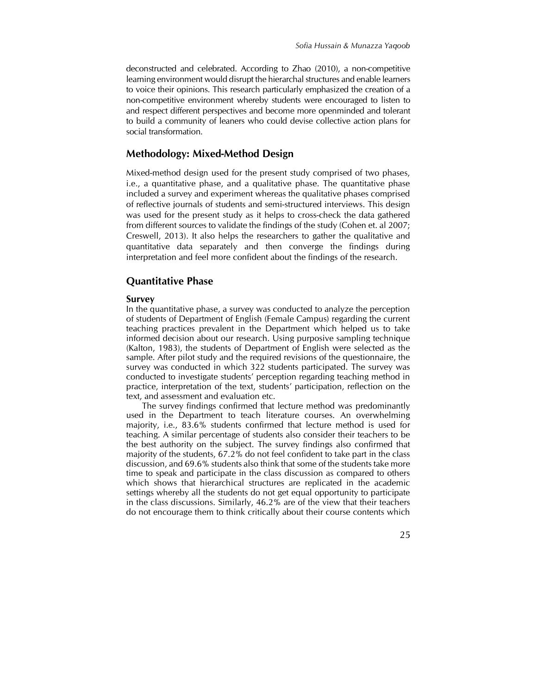deconstructed and celebrated. According to Zhao (2010), a non-competitive learning environment would disrupt the hierarchal structures and enable learners to voice their opinions. This research particularly emphasized the creation of a non-competitive environment whereby students were encouraged to listen to and respect different perspectives and become more openminded and tolerant to build a community of leaners who could devise collective action plans for social transformation.

## Methodology: Mixed-Method Design

Mixed-method design used for the present study comprised of two phases, i.e., a quantitative phase, and a qualitative phase. The quantitative phase included a survey and experiment whereas the qualitative phases comprised of reflective journals of students and semi-structured interviews. This design was used for the present study as it helps to cross-check the data gathered from different sources to validate the findings of the study (Cohen et. al 2007; Creswell, 2013). It also helps the researchers to gather the qualitative and quantitative data separately and then converge the findings during interpretation and feel more confident about the findings of the research.

#### Quantitative Phase

#### Survey

In the quantitative phase, a survey was conducted to analyze the perception of students of Department of English (Female Campus) regarding the current teaching practices prevalent in the Department which helped us to take informed decision about our research. Using purposive sampling technique (Kalton, 1983), the students of Department of English were selected as the sample. After pilot study and the required revisions of the questionnaire, the survey was conducted in which 322 students participated. The survey was conducted to investigate students' perception regarding teaching method in practice, interpretation of the text, students' participation, reflection on the text, and assessment and evaluation etc.

 The survey findings confirmed that lecture method was predominantly used in the Department to teach literature courses. An overwhelming majority, i.e., 83.6% students confirmed that lecture method is used for teaching. A similar percentage of students also consider their teachers to be the best authority on the subject. The survey findings also confirmed that majority of the students, 67.2% do not feel confident to take part in the class discussion, and 69.6% students also think that some of the students take more time to speak and participate in the class discussion as compared to others which shows that hierarchical structures are replicated in the academic settings whereby all the students do not get equal opportunity to participate in the class discussions. Similarly, 46.2% are of the view that their teachers do not encourage them to think critically about their course contents which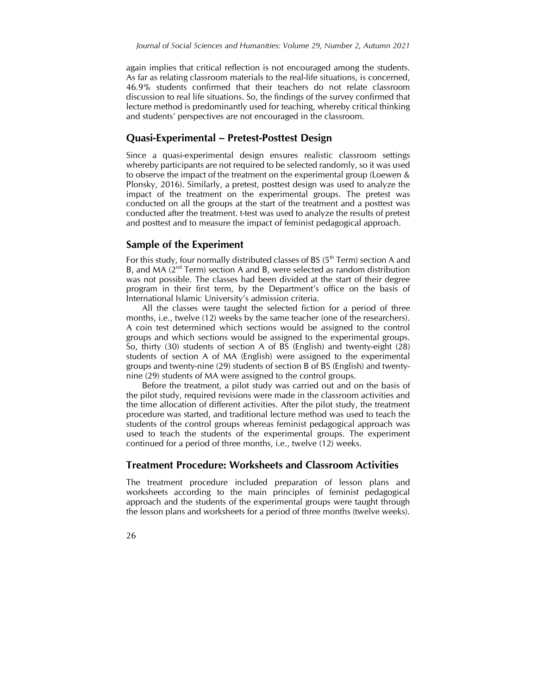again implies that critical reflection is not encouraged among the students. As far as relating classroom materials to the real-life situations, is concerned, 46.9% students confirmed that their teachers do not relate classroom discussion to real life situations. So, the findings of the survey confirmed that lecture method is predominantly used for teaching, whereby critical thinking and students' perspectives are not encouraged in the classroom.

#### Quasi-Experimental – Pretest-Posttest Design

Since a quasi-experimental design ensures realistic classroom settings whereby participants are not required to be selected randomly, so it was used to observe the impact of the treatment on the experimental group (Loewen & Plonsky, 2016). Similarly, a pretest, posttest design was used to analyze the impact of the treatment on the experimental groups. The pretest was conducted on all the groups at the start of the treatment and a posttest was conducted after the treatment. t-test was used to analyze the results of pretest and posttest and to measure the impact of feminist pedagogical approach.

#### Sample of the Experiment

For this study, four normally distributed classes of BS ( $5<sup>th</sup>$  Term) section A and B, and MA  $(2^{nd}$  Term) section A and B, were selected as random distribution was not possible. The classes had been divided at the start of their degree program in their first term, by the Department's office on the basis of International Islamic University's admission criteria.

 All the classes were taught the selected fiction for a period of three months, i.e., twelve (12) weeks by the same teacher (one of the researchers). A coin test determined which sections would be assigned to the control groups and which sections would be assigned to the experimental groups. So, thirty (30) students of section A of BS (English) and twenty-eight (28) students of section A of MA (English) were assigned to the experimental groups and twenty-nine (29) students of section B of BS (English) and twentynine (29) students of MA were assigned to the control groups.

 Before the treatment, a pilot study was carried out and on the basis of the pilot study, required revisions were made in the classroom activities and the time allocation of different activities. After the pilot study, the treatment procedure was started, and traditional lecture method was used to teach the students of the control groups whereas feminist pedagogical approach was used to teach the students of the experimental groups. The experiment continued for a period of three months, i.e., twelve (12) weeks.

### Treatment Procedure: Worksheets and Classroom Activities

The treatment procedure included preparation of lesson plans and worksheets according to the main principles of feminist pedagogical approach and the students of the experimental groups were taught through the lesson plans and worksheets for a period of three months (twelve weeks).

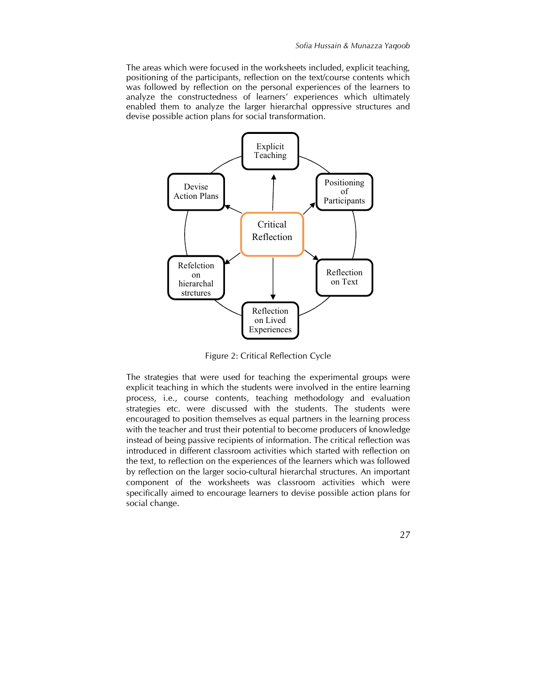The areas which were focused in the worksheets included, explicit teaching, positioning of the participants, reflection on the text/course contents which was followed by reflection on the personal experiences of the learners to analyze the constructedness of learners' experiences which ultimately enabled them to analyze the larger hierarchal oppressive structures and devise possible action plans for social transformation.



Figure 2: Critical Reflection Cycle

The strategies that were used for teaching the experimental groups were explicit teaching in which the students were involved in the entire learning process, i.e., course contents, teaching methodology and evaluation strategies etc. were discussed with the students. The students were encouraged to position themselves as equal partners in the learning process with the teacher and trust their potential to become producers of knowledge instead of being passive recipients of information. The critical reflection was introduced in different classroom activities which started with reflection on the text, to reflection on the experiences of the learners which was followed by reflection on the larger socio-cultural hierarchal structures. An important component of the worksheets was classroom activities which were specifically aimed to encourage learners to devise possible action plans for social change.

27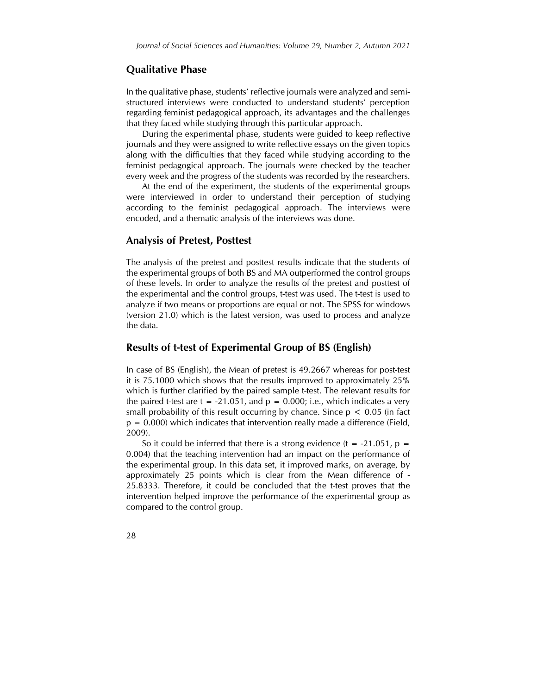## Qualitative Phase

In the qualitative phase, students' reflective journals were analyzed and semistructured interviews were conducted to understand students' perception regarding feminist pedagogical approach, its advantages and the challenges that they faced while studying through this particular approach.

 During the experimental phase, students were guided to keep reflective journals and they were assigned to write reflective essays on the given topics along with the difficulties that they faced while studying according to the feminist pedagogical approach. The journals were checked by the teacher every week and the progress of the students was recorded by the researchers.

 At the end of the experiment, the students of the experimental groups were interviewed in order to understand their perception of studying according to the feminist pedagogical approach. The interviews were encoded, and a thematic analysis of the interviews was done.

#### Analysis of Pretest, Posttest

The analysis of the pretest and posttest results indicate that the students of the experimental groups of both BS and MA outperformed the control groups of these levels. In order to analyze the results of the pretest and posttest of the experimental and the control groups, t-test was used. The t-test is used to analyze if two means or proportions are equal or not. The SPSS for windows (version 21.0) which is the latest version, was used to process and analyze the data.

#### Results of t-test of Experimental Group of BS (English)

In case of BS (English), the Mean of pretest is 49.2667 whereas for post-test it is 75.1000 which shows that the results improved to approximately 25% which is further clarified by the paired sample t-test. The relevant results for the paired t-test are  $t = -21.051$ , and  $p = 0.000$ ; i.e., which indicates a very small probability of this result occurring by chance. Since  $p < 0.05$  (in fact  $p = 0.000$ ) which indicates that intervention really made a difference (Field, 2009).

So it could be inferred that there is a strong evidence (t =  $-21.051$ , p = 0.004) that the teaching intervention had an impact on the performance of the experimental group. In this data set, it improved marks, on average, by approximately 25 points which is clear from the Mean difference of - 25.8333. Therefore, it could be concluded that the t-test proves that the intervention helped improve the performance of the experimental group as compared to the control group.

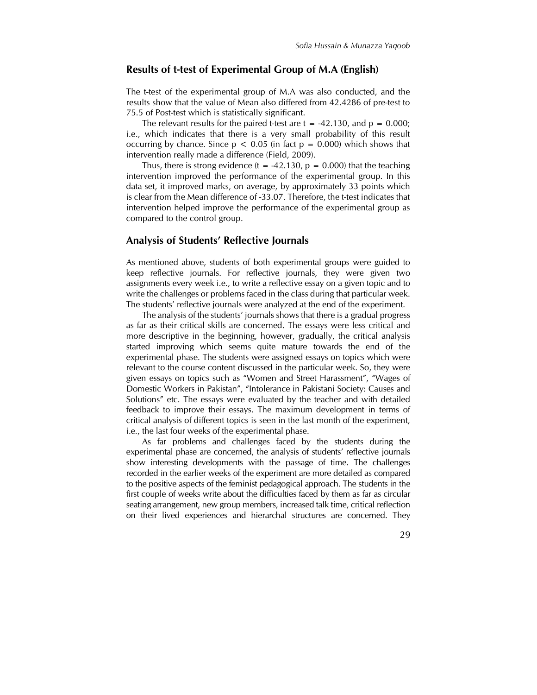### Results of t-test of Experimental Group of M.A (English)

The t-test of the experimental group of M.A was also conducted, and the results show that the value of Mean also differed from 42.4286 of pre-test to 75.5 of Post-test which is statistically significant.

The relevant results for the paired t-test are  $t = -42.130$ , and  $p = 0.000$ ; i.e., which indicates that there is a very small probability of this result occurring by chance. Since  $p < 0.05$  (in fact  $p = 0.000$ ) which shows that intervention really made a difference (Field, 2009).

Thus, there is strong evidence (t = -42.130,  $p = 0.000$ ) that the teaching intervention improved the performance of the experimental group. In this data set, it improved marks, on average, by approximately 33 points which is clear from the Mean difference of -33.07. Therefore, the t-test indicates that intervention helped improve the performance of the experimental group as compared to the control group.

#### Analysis of Students' Reflective Journals

As mentioned above, students of both experimental groups were guided to keep reflective journals. For reflective journals, they were given two assignments every week i.e., to write a reflective essay on a given topic and to write the challenges or problems faced in the class during that particular week. The students' reflective journals were analyzed at the end of the experiment.

 The analysis of the students' journals shows that there is a gradual progress as far as their critical skills are concerned. The essays were less critical and more descriptive in the beginning, however, gradually, the critical analysis started improving which seems quite mature towards the end of the experimental phase. The students were assigned essays on topics which were relevant to the course content discussed in the particular week. So, they were given essays on topics such as "Women and Street Harassment", "Wages of Domestic Workers in Pakistan", "Intolerance in Pakistani Society: Causes and Solutions" etc. The essays were evaluated by the teacher and with detailed feedback to improve their essays. The maximum development in terms of critical analysis of different topics is seen in the last month of the experiment, i.e., the last four weeks of the experimental phase.

 As far problems and challenges faced by the students during the experimental phase are concerned, the analysis of students' reflective journals show interesting developments with the passage of time. The challenges recorded in the earlier weeks of the experiment are more detailed as compared to the positive aspects of the feminist pedagogical approach. The students in the first couple of weeks write about the difficulties faced by them as far as circular seating arrangement, new group members, increased talk time, critical reflection on their lived experiences and hierarchal structures are concerned. They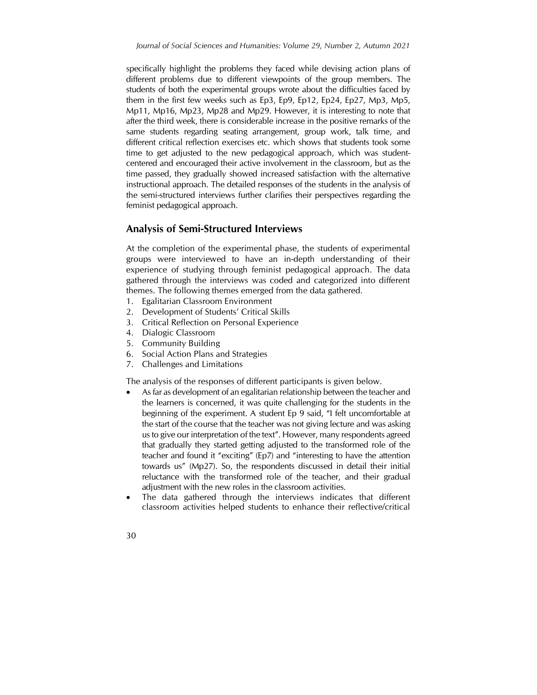specifically highlight the problems they faced while devising action plans of different problems due to different viewpoints of the group members. The students of both the experimental groups wrote about the difficulties faced by them in the first few weeks such as Ep3, Ep9, Ep12, Ep24, Ep27, Mp3, Mp5, Mp11, Mp16, Mp23, Mp28 and Mp29. However, it is interesting to note that after the third week, there is considerable increase in the positive remarks of the same students regarding seating arrangement, group work, talk time, and different critical reflection exercises etc. which shows that students took some time to get adjusted to the new pedagogical approach, which was studentcentered and encouraged their active involvement in the classroom, but as the time passed, they gradually showed increased satisfaction with the alternative instructional approach. The detailed responses of the students in the analysis of the semi-structured interviews further clarifies their perspectives regarding the feminist pedagogical approach.

## Analysis of Semi-Structured Interviews

At the completion of the experimental phase, the students of experimental groups were interviewed to have an in-depth understanding of their experience of studying through feminist pedagogical approach. The data gathered through the interviews was coded and categorized into different themes. The following themes emerged from the data gathered.

- 1. Egalitarian Classroom Environment
- 2. Development of Students' Critical Skills
- 3. Critical Reflection on Personal Experience
- 4. Dialogic Classroom
- 5. Community Building
- 6. Social Action Plans and Strategies
- 7. Challenges and Limitations

The analysis of the responses of different participants is given below.

- As far as development of an egalitarian relationship between the teacher and the learners is concerned, it was quite challenging for the students in the beginning of the experiment. A student Ep 9 said, "I felt uncomfortable at the start of the course that the teacher was not giving lecture and was asking us to give our interpretation of the text". However, many respondents agreed that gradually they started getting adjusted to the transformed role of the teacher and found it "exciting" (Ep7) and "interesting to have the attention towards us" (Mp27). So, the respondents discussed in detail their initial reluctance with the transformed role of the teacher, and their gradual adjustment with the new roles in the classroom activities.
- The data gathered through the interviews indicates that different classroom activities helped students to enhance their reflective/critical
- 30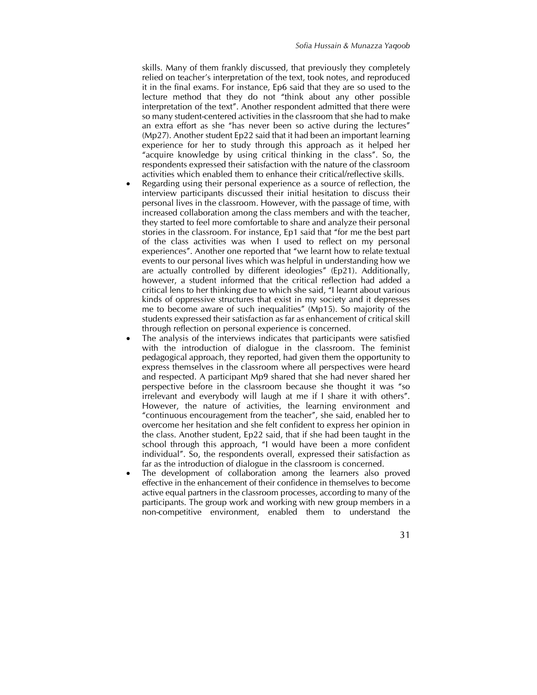skills. Many of them frankly discussed, that previously they completely relied on teacher's interpretation of the text, took notes, and reproduced it in the final exams. For instance, Ep6 said that they are so used to the lecture method that they do not "think about any other possible interpretation of the text". Another respondent admitted that there were so many student-centered activities in the classroom that she had to make an extra effort as she "has never been so active during the lectures" (Mp27). Another student Ep22 said that it had been an important learning experience for her to study through this approach as it helped her "acquire knowledge by using critical thinking in the class". So, the respondents expressed their satisfaction with the nature of the classroom activities which enabled them to enhance their critical/reflective skills.

- Regarding using their personal experience as a source of reflection, the interview participants discussed their initial hesitation to discuss their personal lives in the classroom. However, with the passage of time, with increased collaboration among the class members and with the teacher, they started to feel more comfortable to share and analyze their personal stories in the classroom. For instance, Ep1 said that "for me the best part of the class activities was when I used to reflect on my personal experiences". Another one reported that "we learnt how to relate textual events to our personal lives which was helpful in understanding how we are actually controlled by different ideologies" (Ep21). Additionally, however, a student informed that the critical reflection had added a critical lens to her thinking due to which she said, "I learnt about various kinds of oppressive structures that exist in my society and it depresses me to become aware of such inequalities" (Mp15). So majority of the students expressed their satisfaction as far as enhancement of critical skill through reflection on personal experience is concerned.
- The analysis of the interviews indicates that participants were satisfied with the introduction of dialogue in the classroom. The feminist pedagogical approach, they reported, had given them the opportunity to express themselves in the classroom where all perspectives were heard and respected. A participant Mp9 shared that she had never shared her perspective before in the classroom because she thought it was "so irrelevant and everybody will laugh at me if I share it with others". However, the nature of activities, the learning environment and "continuous encouragement from the teacher", she said, enabled her to overcome her hesitation and she felt confident to express her opinion in the class. Another student, Ep22 said, that if she had been taught in the school through this approach, "I would have been a more confident individual". So, the respondents overall, expressed their satisfaction as far as the introduction of dialogue in the classroom is concerned.
- The development of collaboration among the learners also proved effective in the enhancement of their confidence in themselves to become active equal partners in the classroom processes, according to many of the participants. The group work and working with new group members in a non-competitive environment, enabled them to understand the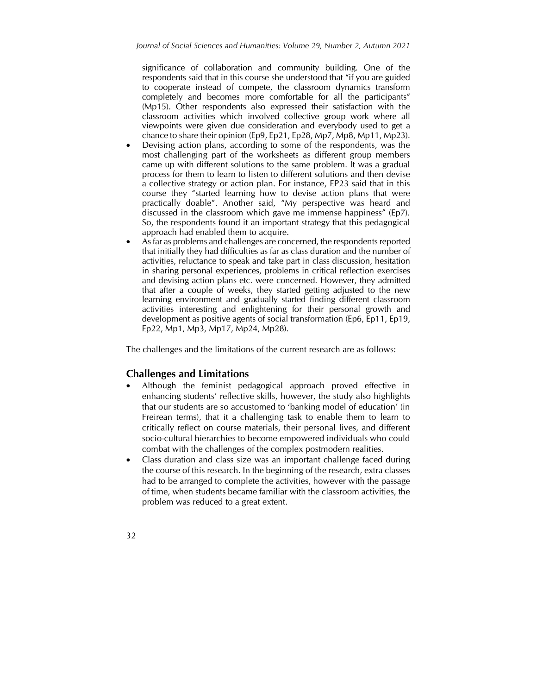significance of collaboration and community building. One of the respondents said that in this course she understood that "if you are guided to cooperate instead of compete, the classroom dynamics transform completely and becomes more comfortable for all the participants" (Mp15). Other respondents also expressed their satisfaction with the classroom activities which involved collective group work where all viewpoints were given due consideration and everybody used to get a chance to share their opinion (Ep9, Ep21, Ep28, Mp7, Mp8, Mp11, Mp23).

- Devising action plans, according to some of the respondents, was the most challenging part of the worksheets as different group members came up with different solutions to the same problem. It was a gradual process for them to learn to listen to different solutions and then devise a collective strategy or action plan. For instance, EP23 said that in this course they "started learning how to devise action plans that were practically doable". Another said, "My perspective was heard and discussed in the classroom which gave me immense happiness" (Ep7). So, the respondents found it an important strategy that this pedagogical approach had enabled them to acquire.
- As far as problems and challenges are concerned, the respondents reported that initially they had difficulties as far as class duration and the number of activities, reluctance to speak and take part in class discussion, hesitation in sharing personal experiences, problems in critical reflection exercises and devising action plans etc. were concerned. However, they admitted that after a couple of weeks, they started getting adjusted to the new learning environment and gradually started finding different classroom activities interesting and enlightening for their personal growth and development as positive agents of social transformation (Ep6, Ep11, Ep19, Ep22, Mp1, Mp3, Mp17, Mp24, Mp28).

The challenges and the limitations of the current research are as follows:

## Challenges and Limitations

- Although the feminist pedagogical approach proved effective in enhancing students' reflective skills, however, the study also highlights that our students are so accustomed to 'banking model of education' (in Freirean terms), that it a challenging task to enable them to learn to critically reflect on course materials, their personal lives, and different socio-cultural hierarchies to become empowered individuals who could combat with the challenges of the complex postmodern realities.
- Class duration and class size was an important challenge faced during the course of this research. In the beginning of the research, extra classes had to be arranged to complete the activities, however with the passage of time, when students became familiar with the classroom activities, the problem was reduced to a great extent.
- 32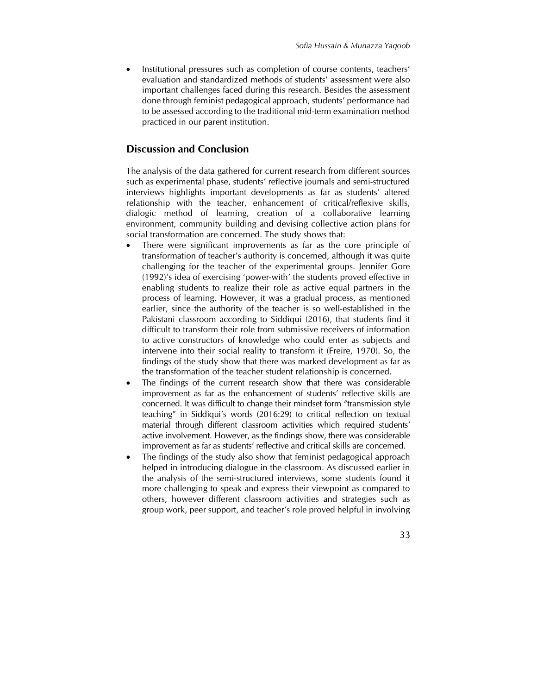Institutional pressures such as completion of course contents, teachers' evaluation and standardized methods of students' assessment were also important challenges faced during this research. Besides the assessment done through feminist pedagogical approach, students' performance had to be assessed according to the traditional mid-term examination method practiced in our parent institution.

## Discussion and Conclusion

The analysis of the data gathered for current research from different sources such as experimental phase, students' reflective journals and semi-structured interviews highlights important developments as far as students' altered relationship with the teacher, enhancement of critical/reflexive skills, dialogic method of learning, creation of a collaborative learning environment, community building and devising collective action plans for social transformation are concerned. The study shows that:

- There were significant improvements as far as the core principle of transformation of teacher's authority is concerned, although it was quite challenging for the teacher of the experimental groups. Jennifer Gore (1992)'s idea of exercising 'power-with' the students proved effective in enabling students to realize their role as active equal partners in the process of learning. However, it was a gradual process, as mentioned earlier, since the authority of the teacher is so well-established in the Pakistani classroom according to Siddiqui (2016), that students find it difficult to transform their role from submissive receivers of information to active constructors of knowledge who could enter as subjects and intervene into their social reality to transform it (Freire, 1970). So, the findings of the study show that there was marked development as far as the transformation of the teacher student relationship is concerned.
- The findings of the current research show that there was considerable improvement as far as the enhancement of students' reflective skills are concerned. It was difficult to change their mindset form "transmission style teaching" in Siddiqui's words (2016:29) to critical reflection on textual material through different classroom activities which required students' active involvement. However, as the findings show, there was considerable improvement as far as students' reflective and critical skills are concerned.
- The findings of the study also show that feminist pedagogical approach helped in introducing dialogue in the classroom. As discussed earlier in the analysis of the semi-structured interviews, some students found it more challenging to speak and express their viewpoint as compared to others, however different classroom activities and strategies such as group work, peer support, and teacher's role proved helpful in involving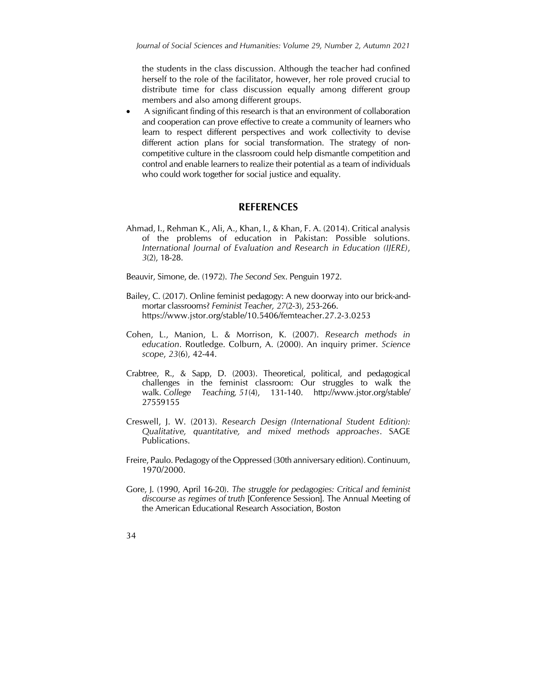the students in the class discussion. Although the teacher had confined herself to the role of the facilitator, however, her role proved crucial to distribute time for class discussion equally among different group members and also among different groups.

 A significant finding of this research is that an environment of collaboration and cooperation can prove effective to create a community of learners who learn to respect different perspectives and work collectivity to devise different action plans for social transformation. The strategy of noncompetitive culture in the classroom could help dismantle competition and control and enable learners to realize their potential as a team of individuals who could work together for social justice and equality.

## REFERENCES

Ahmad, I., Rehman K., Ali, A., Khan, I., & Khan, F. A. (2014). Critical analysis of the problems of education in Pakistan: Possible solutions. International Journal of Evaluation and Research in Education (IJERE), 3(2), 18-28.

Beauvir, Simone, de. (1972). The Second Sex. Penguin 1972.

- Bailey, C. (2017). Online feminist pedagogy: A new doorway into our brick-andmortar classrooms? Feminist Teacher, 27(2-3), 253-266. https://www.jstor.org/stable/10.5406/femteacher.27.2-3.0253
- Cohen, L., Manion, L. & Morrison, K. (2007). Research methods in education. Routledge. Colburn, A. (2000). An inquiry primer. Science scope, 23(6), 42-44.
- Crabtree, R., & Sapp, D. (2003). Theoretical, political, and pedagogical challenges in the feminist classroom: Our struggles to walk the walk. College Teaching, 51(4), 131-140. http://www.jstor.org/stable/ 27559155
- Creswell, J. W. (2013). Research Design (International Student Edition): Qualitative, quantitative, and mixed methods approaches. SAGE Publications.
- Freire, Paulo. Pedagogy of the Oppressed (30th anniversary edition). Continuum, 1970/2000.
- Gore, J. (1990, April 16-20). The struggle for pedagogies: Critical and feminist discourse as regimes of truth [Conference Session]. The Annual Meeting of the American Educational Research Association, Boston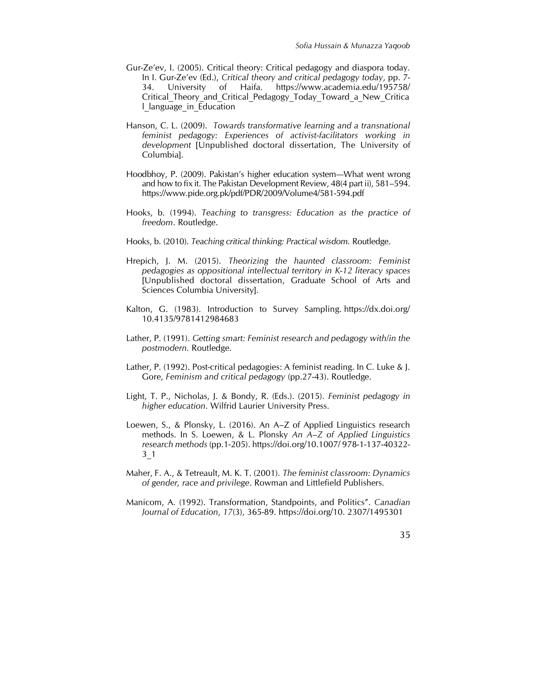- Gur-Ze'ev, I. (2005). Critical theory: Critical pedagogy and diaspora today. In I. Gur-Ze'ev (Ed.), Critical theory and critical pedagogy today, pp. 7- 34. University of Haifa. https://www.academia.edu/195758/ Critical\_Theory\_and\_Critical\_Pedagogy\_Today\_Toward\_a\_New\_Critica l language in Education
- Hanson, C. L. (2009). Towards transformative learning and a transnational feminist pedagogy: Experiences of activist-facilitators working in development [Unpublished doctoral dissertation, The University of Columbia].
- Hoodbhoy, P. (2009). Pakistan's higher education system—What went wrong and how to fix it. The Pakistan Development Review, 48(4 part ii), 581–594. https://www.pide.org.pk/pdf/PDR/2009/Volume4/581-594.pdf
- Hooks, b. (1994). Teaching to transgress: Education as the practice of freedom. Routledge.
- Hooks, b. (2010). Teaching critical thinking: Practical wisdom. Routledge.
- Hrepich, J. M. (2015). Theorizing the haunted classroom: Feminist pedagogies as oppositional intellectual territory in K-12 literacy spaces [Unpublished doctoral dissertation, Graduate School of Arts and Sciences Columbia University].
- Kalton, G. (1983). Introduction to Survey Sampling. https://dx.doi.org/ 10.4135/9781412984683
- Lather, P. (1991). Getting smart: Feminist research and pedagogy with/in the postmodern. Routledge.
- Lather, P. (1992). Post-critical pedagogies: A feminist reading. In C. Luke & J. Gore, Feminism and critical pedagogy (pp.27-43). Routledge.
- Light, T. P., Nicholas, J. & Bondy, R. (Eds.). (2015). Feminist pedagogy in higher education. Wilfrid Laurier University Press.
- Loewen, S., & Plonsky, L. (2016). An A–Z of Applied Linguistics research methods. In S. Loewen, & L. Plonsky An A–Z of Applied Linguistics research methods (pp.1-205). https://doi.org/10.1007/ 978-1-137-40322- 3\_1
- Maher, F. A., & Tetreault, M. K. T. (2001). The feminist classroom: Dynamics of gender, race and privilege. Rowman and Littlefield Publishers.
- Manicom, A. (1992). Transformation, Standpoints, and Politics". Canadian Journal of Education, 17(3), 365-89. https://doi.org/10. 2307/1495301